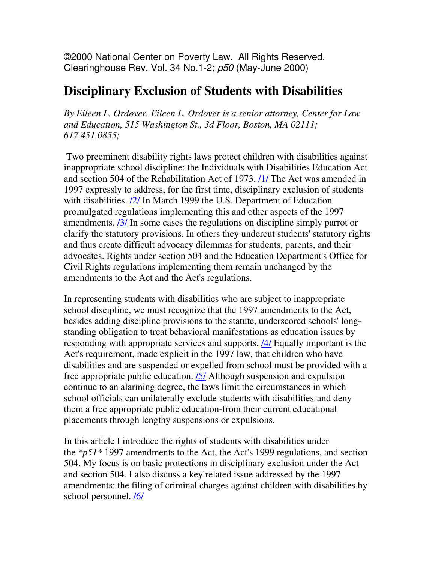©2000 National Center on Poverty Law. All Rights Reserved. Clearinghouse Rev. Vol. 34 No.1-2; p50 (May-June 2000)

# **Disciplinary Exclusion of Students with Disabilities**

*By Eileen L. Ordover. Eileen L. Ordover is a senior attorney, Center for Law and Education, 515 Washington St., 3d Floor, Boston, MA 02111; 617.451.0855;* 

 Two preeminent disability rights laws protect children with disabilities against inappropriate school discipline: the Individuals with Disabilities Education Act and section 504 of the Rehabilitation Act of 1973. *(1)* The Act was amended in 1997 expressly to address, for the first time, disciplinary exclusion of students with disabilities.  $\frac{2}{1}$  In March 1999 the U.S. Department of Education promulgated regulations implementing this and other aspects of the 1997 amendments. /3/ In some cases the regulations on discipline simply parrot or clarify the statutory provisions. In others they undercut students' statutory rights and thus create difficult advocacy dilemmas for students, parents, and their advocates. Rights under section 504 and the Education Department's Office for Civil Rights regulations implementing them remain unchanged by the amendments to the Act and the Act's regulations.

In representing students with disabilities who are subject to inappropriate school discipline, we must recognize that the 1997 amendments to the Act, besides adding discipline provisions to the statute, underscored schools' longstanding obligation to treat behavioral manifestations as education issues by responding with appropriate services and supports. /4/ Equally important is the Act's requirement, made explicit in the 1997 law, that children who have disabilities and are suspended or expelled from school must be provided with a free appropriate public education. /5/ Although suspension and expulsion continue to an alarming degree, the laws limit the circumstances in which school officials can unilaterally exclude students with disabilities-and deny them a free appropriate public education-from their current educational placements through lengthy suspensions or expulsions.

In this article I introduce the rights of students with disabilities under the *\*p51\** 1997 amendments to the Act, the Act's 1999 regulations, and section 504. My focus is on basic protections in disciplinary exclusion under the Act and section 504. I also discuss a key related issue addressed by the 1997 amendments: the filing of criminal charges against children with disabilities by school personnel. /6/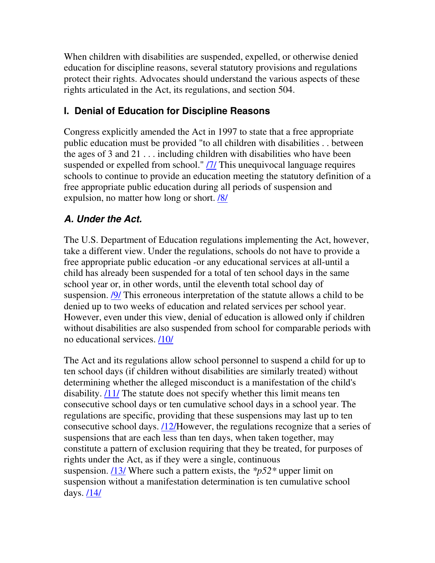When children with disabilities are suspended, expelled, or otherwise denied education for discipline reasons, several statutory provisions and regulations protect their rights. Advocates should understand the various aspects of these rights articulated in the Act, its regulations, and section 504.

### **I. Denial of Education for Discipline Reasons**

Congress explicitly amended the Act in 1997 to state that a free appropriate public education must be provided "to all children with disabilities . . between the ages of 3 and 21 . . . including children with disabilities who have been suspended or expelled from school." /7/ This unequivocal language requires schools to continue to provide an education meeting the statutory definition of a free appropriate public education during all periods of suspension and expulsion, no matter how long or short. /8/

### **A. Under the Act.**

The U.S. Department of Education regulations implementing the Act, however, take a different view. Under the regulations, schools do not have to provide a free appropriate public education -or any educational services at all-until a child has already been suspended for a total of ten school days in the same school year or, in other words, until the eleventh total school day of suspension. /9/ This erroneous interpretation of the statute allows a child to be denied up to two weeks of education and related services per school year. However, even under this view, denial of education is allowed only if children without disabilities are also suspended from school for comparable periods with no educational services. /10/

The Act and its regulations allow school personnel to suspend a child for up to ten school days (if children without disabilities are similarly treated) without determining whether the alleged misconduct is a manifestation of the child's disability. /11/ The statute does not specify whether this limit means ten consecutive school days or ten cumulative school days in a school year. The regulations are specific, providing that these suspensions may last up to ten consecutive school days. /12/However, the regulations recognize that a series of suspensions that are each less than ten days, when taken together, may constitute a pattern of exclusion requiring that they be treated, for purposes of rights under the Act, as if they were a single, continuous suspension. /13/ Where such a pattern exists, the *\*p52\** upper limit on suspension without a manifestation determination is ten cumulative school days. /14/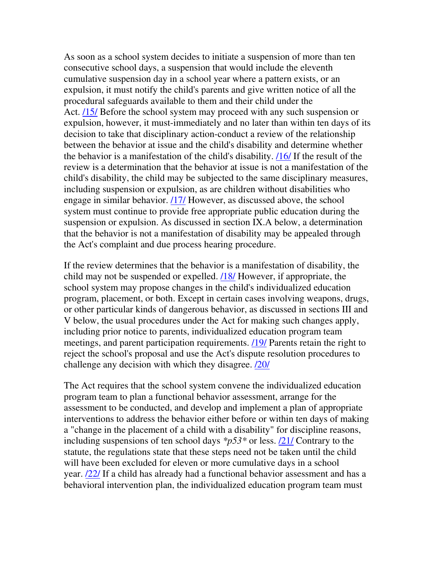As soon as a school system decides to initiate a suspension of more than ten consecutive school days, a suspension that would include the eleventh cumulative suspension day in a school year where a pattern exists, or an expulsion, it must notify the child's parents and give written notice of all the procedural safeguards available to them and their child under the Act. **/15/** Before the school system may proceed with any such suspension or expulsion, however, it must-immediately and no later than within ten days of its decision to take that disciplinary action-conduct a review of the relationship between the behavior at issue and the child's disability and determine whether the behavior is a manifestation of the child's disability. /16/ If the result of the review is a determination that the behavior at issue is not a manifestation of the child's disability, the child may be subjected to the same disciplinary measures, including suspension or expulsion, as are children without disabilities who engage in similar behavior. /17/ However, as discussed above, the school system must continue to provide free appropriate public education during the suspension or expulsion. As discussed in section IX.A below, a determination that the behavior is not a manifestation of disability may be appealed through the Act's complaint and due process hearing procedure.

If the review determines that the behavior is a manifestation of disability, the child may not be suspended or expelled. /18/ However, if appropriate, the school system may propose changes in the child's individualized education program, placement, or both. Except in certain cases involving weapons, drugs, or other particular kinds of dangerous behavior, as discussed in sections III and V below, the usual procedures under the Act for making such changes apply, including prior notice to parents, individualized education program team meetings, and parent participation requirements. /19/ Parents retain the right to reject the school's proposal and use the Act's dispute resolution procedures to challenge any decision with which they disagree. /20/

The Act requires that the school system convene the individualized education program team to plan a functional behavior assessment, arrange for the assessment to be conducted, and develop and implement a plan of appropriate interventions to address the behavior either before or within ten days of making a "change in the placement of a child with a disability" for discipline reasons, including suspensions of ten school days *\*p53\** or less. /21/ Contrary to the statute, the regulations state that these steps need not be taken until the child will have been excluded for eleven or more cumulative days in a school year. /22/ If a child has already had a functional behavior assessment and has a behavioral intervention plan, the individualized education program team must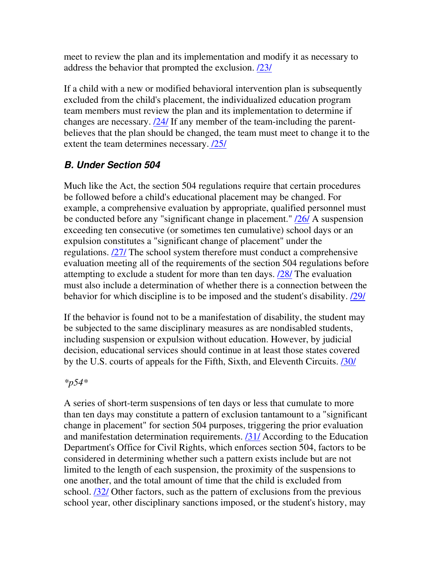meet to review the plan and its implementation and modify it as necessary to address the behavior that prompted the exclusion.  $\frac{23}{23}$ 

If a child with a new or modified behavioral intervention plan is subsequently excluded from the child's placement, the individualized education program team members must review the plan and its implementation to determine if changes are necessary. /24/ If any member of the team-including the parentbelieves that the plan should be changed, the team must meet to change it to the extent the team determines necessary.  $\frac{25}{125}$ 

#### **B. Under Section 504**

Much like the Act, the section 504 regulations require that certain procedures be followed before a child's educational placement may be changed. For example, a comprehensive evaluation by appropriate, qualified personnel must be conducted before any "significant change in placement." /26/ A suspension exceeding ten consecutive (or sometimes ten cumulative) school days or an expulsion constitutes a "significant change of placement" under the regulations. /27/ The school system therefore must conduct a comprehensive evaluation meeting all of the requirements of the section 504 regulations before attempting to exclude a student for more than ten days. /28/ The evaluation must also include a determination of whether there is a connection between the behavior for which discipline is to be imposed and the student's disability. **(29)** 

If the behavior is found not to be a manifestation of disability, the student may be subjected to the same disciplinary measures as are nondisabled students, including suspension or expulsion without education. However, by judicial decision, educational services should continue in at least those states covered by the U.S. courts of appeals for the Fifth, Sixth, and Eleventh Circuits. **[30]** 

#### *\*p54\**

A series of short-term suspensions of ten days or less that cumulate to more than ten days may constitute a pattern of exclusion tantamount to a "significant change in placement" for section 504 purposes, triggering the prior evaluation and manifestation determination requirements. /31/ According to the Education Department's Office for Civil Rights, which enforces section 504, factors to be considered in determining whether such a pattern exists include but are not limited to the length of each suspension, the proximity of the suspensions to one another, and the total amount of time that the child is excluded from school. /32/ Other factors, such as the pattern of exclusions from the previous school year, other disciplinary sanctions imposed, or the student's history, may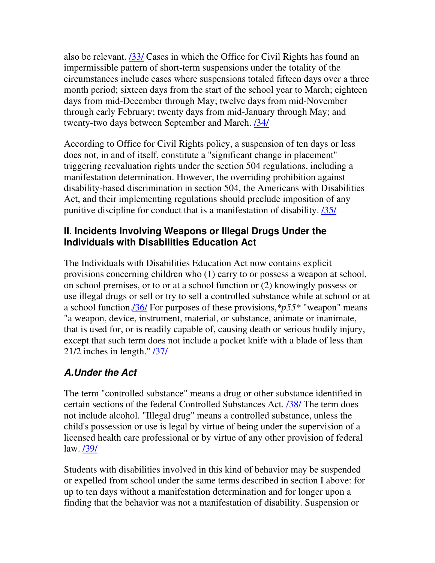also be relevant. /33/ Cases in which the Office for Civil Rights has found an impermissible pattern of short-term suspensions under the totality of the circumstances include cases where suspensions totaled fifteen days over a three month period; sixteen days from the start of the school year to March; eighteen days from mid-December through May; twelve days from mid-November through early February; twenty days from mid-January through May; and twenty-two days between September and March. /34/

According to Office for Civil Rights policy, a suspension of ten days or less does not, in and of itself, constitute a "significant change in placement" triggering reevaluation rights under the section 504 regulations, including a manifestation determination. However, the overriding prohibition against disability-based discrimination in section 504, the Americans with Disabilities Act, and their implementing regulations should preclude imposition of any punitive discipline for conduct that is a manifestation of disability. /35/

#### **II. Incidents Involving Weapons or Illegal Drugs Under the Individuals with Disabilities Education Act**

The Individuals with Disabilities Education Act now contains explicit provisions concerning children who (1) carry to or possess a weapon at school, on school premises, or to or at a school function or (2) knowingly possess or use illegal drugs or sell or try to sell a controlled substance while at school or at a school function./36/ For purposes of these provisions,*\*p55\** "weapon" means "a weapon, device, instrument, material, or substance, animate or inanimate, that is used for, or is readily capable of, causing death or serious bodily injury, except that such term does not include a pocket knife with a blade of less than 21/2 inches in length." /37/

## **A.Under the Act**

The term "controlled substance" means a drug or other substance identified in certain sections of the federal Controlled Substances Act. /38/ The term does not include alcohol. "Illegal drug" means a controlled substance, unless the child's possession or use is legal by virtue of being under the supervision of a licensed health care professional or by virtue of any other provision of federal law. /39/

Students with disabilities involved in this kind of behavior may be suspended or expelled from school under the same terms described in section I above: for up to ten days without a manifestation determination and for longer upon a finding that the behavior was not a manifestation of disability. Suspension or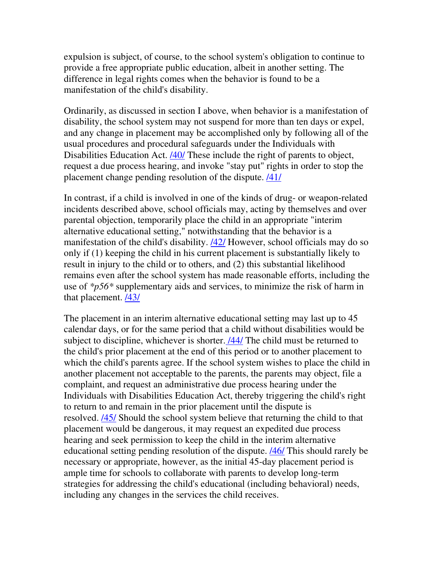expulsion is subject, of course, to the school system's obligation to continue to provide a free appropriate public education, albeit in another setting. The difference in legal rights comes when the behavior is found to be a manifestation of the child's disability.

Ordinarily, as discussed in section I above, when behavior is a manifestation of disability, the school system may not suspend for more than ten days or expel, and any change in placement may be accomplished only by following all of the usual procedures and procedural safeguards under the Individuals with Disabilities Education Act. **/40/** These include the right of parents to object, request a due process hearing, and invoke "stay put" rights in order to stop the placement change pending resolution of the dispute. /41/

In contrast, if a child is involved in one of the kinds of drug- or weapon-related incidents described above, school officials may, acting by themselves and over parental objection, temporarily place the child in an appropriate "interim alternative educational setting," notwithstanding that the behavior is a manifestation of the child's disability. /42/ However, school officials may do so only if (1) keeping the child in his current placement is substantially likely to result in injury to the child or to others, and (2) this substantial likelihood remains even after the school system has made reasonable efforts, including the use of *\*p56\** supplementary aids and services, to minimize the risk of harm in that placement. /43/

The placement in an interim alternative educational setting may last up to 45 calendar days, or for the same period that a child without disabilities would be subject to discipline, whichever is shorter. /44/ The child must be returned to the child's prior placement at the end of this period or to another placement to which the child's parents agree. If the school system wishes to place the child in another placement not acceptable to the parents, the parents may object, file a complaint, and request an administrative due process hearing under the Individuals with Disabilities Education Act, thereby triggering the child's right to return to and remain in the prior placement until the dispute is resolved. /45/ Should the school system believe that returning the child to that placement would be dangerous, it may request an expedited due process hearing and seek permission to keep the child in the interim alternative educational setting pending resolution of the dispute. /46/ This should rarely be necessary or appropriate, however, as the initial 45-day placement period is ample time for schools to collaborate with parents to develop long-term strategies for addressing the child's educational (including behavioral) needs, including any changes in the services the child receives.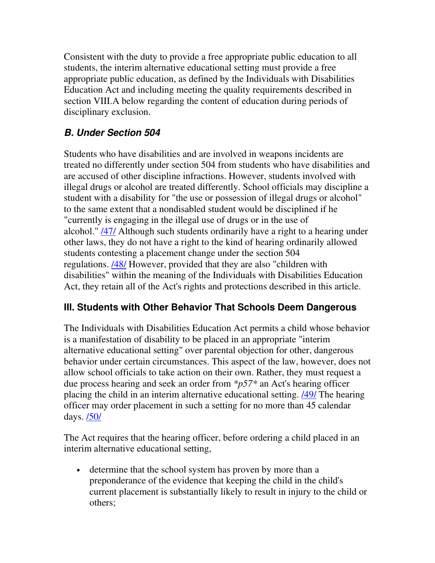Consistent with the duty to provide a free appropriate public education to all students, the interim alternative educational setting must provide a free appropriate public education, as defined by the Individuals with Disabilities Education Act and including meeting the quality requirements described in section VIII.A below regarding the content of education during periods of disciplinary exclusion.

### **B. Under Section 504**

Students who have disabilities and are involved in weapons incidents are treated no differently under section 504 from students who have disabilities and are accused of other discipline infractions. However, students involved with illegal drugs or alcohol are treated differently. School officials may discipline a student with a disability for "the use or possession of illegal drugs or alcohol" to the same extent that a nondisabled student would be disciplined if he "currently is engaging in the illegal use of drugs or in the use of alcohol." /47/ Although such students ordinarily have a right to a hearing under other laws, they do not have a right to the kind of hearing ordinarily allowed students contesting a placement change under the section 504 regulations. /48/ However, provided that they are also "children with disabilities" within the meaning of the Individuals with Disabilities Education Act, they retain all of the Act's rights and protections described in this article.

### **III. Students with Other Behavior That Schools Deem Dangerous**

The Individuals with Disabilities Education Act permits a child whose behavior is a manifestation of disability to be placed in an appropriate "interim alternative educational setting" over parental objection for other, dangerous behavior under certain circumstances. This aspect of the law, however, does not allow school officials to take action on their own. Rather, they must request a due process hearing and seek an order from *\*p57\** an Act's hearing officer placing the child in an interim alternative educational setting. **/49/** The hearing officer may order placement in such a setting for no more than 45 calendar days. **/50/** 

The Act requires that the hearing officer, before ordering a child placed in an interim alternative educational setting,

• determine that the school system has proven by more than a preponderance of the evidence that keeping the child in the child's current placement is substantially likely to result in injury to the child or others;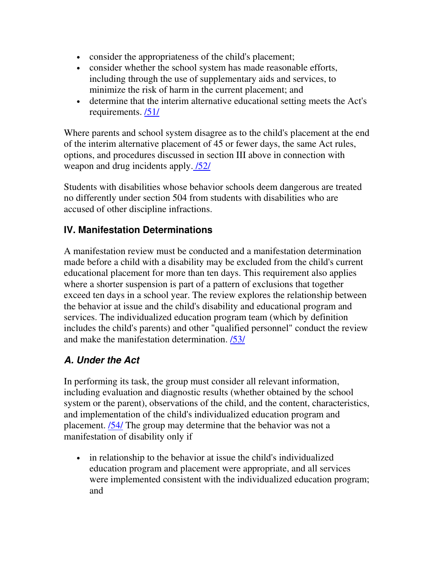- consider the appropriateness of the child's placement;
- consider whether the school system has made reasonable efforts, including through the use of supplementary aids and services, to minimize the risk of harm in the current placement; and
- determine that the interim alternative educational setting meets the Act's requirements.  $/51/$

Where parents and school system disagree as to the child's placement at the end of the interim alternative placement of 45 or fewer days, the same Act rules, options, and procedures discussed in section III above in connection with weapon and drug incidents apply. /52/

Students with disabilities whose behavior schools deem dangerous are treated no differently under section 504 from students with disabilities who are accused of other discipline infractions.

### **IV. Manifestation Determinations**

A manifestation review must be conducted and a manifestation determination made before a child with a disability may be excluded from the child's current educational placement for more than ten days. This requirement also applies where a shorter suspension is part of a pattern of exclusions that together exceed ten days in a school year. The review explores the relationship between the behavior at issue and the child's disability and educational program and services. The individualized education program team (which by definition includes the child's parents) and other "qualified personnel" conduct the review and make the manifestation determination. /53/

### **A. Under the Act**

In performing its task, the group must consider all relevant information, including evaluation and diagnostic results (whether obtained by the school system or the parent), observations of the child, and the content, characteristics, and implementation of the child's individualized education program and placement. /54/ The group may determine that the behavior was not a manifestation of disability only if

• in relationship to the behavior at issue the child's individualized education program and placement were appropriate, and all services were implemented consistent with the individualized education program; and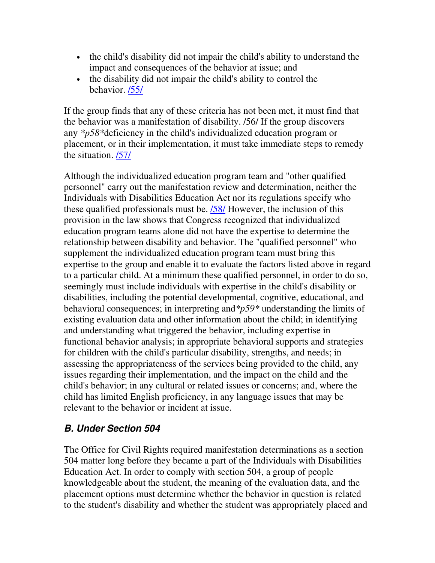- the child's disability did not impair the child's ability to understand the impact and consequences of the behavior at issue; and
- the disability did not impair the child's ability to control the behavior. /55/

If the group finds that any of these criteria has not been met, it must find that the behavior was a manifestation of disability. /56/ If the group discovers any *\*p58\**deficiency in the child's individualized education program or placement, or in their implementation, it must take immediate steps to remedy the situation. /57/

Although the individualized education program team and "other qualified personnel" carry out the manifestation review and determination, neither the Individuals with Disabilities Education Act nor its regulations specify who these qualified professionals must be. /58/ However, the inclusion of this provision in the law shows that Congress recognized that individualized education program teams alone did not have the expertise to determine the relationship between disability and behavior. The "qualified personnel" who supplement the individualized education program team must bring this expertise to the group and enable it to evaluate the factors listed above in regard to a particular child. At a minimum these qualified personnel, in order to do so, seemingly must include individuals with expertise in the child's disability or disabilities, including the potential developmental, cognitive, educational, and behavioral consequences; in interpreting and*\*p59\** understanding the limits of existing evaluation data and other information about the child; in identifying and understanding what triggered the behavior, including expertise in functional behavior analysis; in appropriate behavioral supports and strategies for children with the child's particular disability, strengths, and needs; in assessing the appropriateness of the services being provided to the child, any issues regarding their implementation, and the impact on the child and the child's behavior; in any cultural or related issues or concerns; and, where the child has limited English proficiency, in any language issues that may be relevant to the behavior or incident at issue.

#### **B. Under Section 504**

The Office for Civil Rights required manifestation determinations as a section 504 matter long before they became a part of the Individuals with Disabilities Education Act. In order to comply with section 504, a group of people knowledgeable about the student, the meaning of the evaluation data, and the placement options must determine whether the behavior in question is related to the student's disability and whether the student was appropriately placed and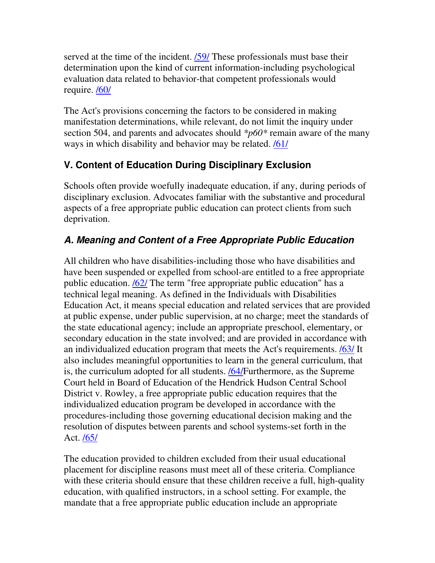served at the time of the incident. **/59/** These professionals must base their determination upon the kind of current information-including psychological evaluation data related to behavior-that competent professionals would require. /60/

The Act's provisions concerning the factors to be considered in making manifestation determinations, while relevant, do not limit the inquiry under section 504, and parents and advocates should *\*p60\** remain aware of the many ways in which disability and behavior may be related. **/61/** 

### **V. Content of Education During Disciplinary Exclusion**

Schools often provide woefully inadequate education, if any, during periods of disciplinary exclusion. Advocates familiar with the substantive and procedural aspects of a free appropriate public education can protect clients from such deprivation.

# **A. Meaning and Content of a Free Appropriate Public Education**

All children who have disabilities-including those who have disabilities and have been suspended or expelled from school-are entitled to a free appropriate public education. /62/ The term "free appropriate public education" has a technical legal meaning. As defined in the Individuals with Disabilities Education Act, it means special education and related services that are provided at public expense, under public supervision, at no charge; meet the standards of the state educational agency; include an appropriate preschool, elementary, or secondary education in the state involved; and are provided in accordance with an individualized education program that meets the Act's requirements. /63/ It also includes meaningful opportunities to learn in the general curriculum, that is, the curriculum adopted for all students. /64/Furthermore, as the Supreme Court held in Board of Education of the Hendrick Hudson Central School District v. Rowley, a free appropriate public education requires that the individualized education program be developed in accordance with the procedures-including those governing educational decision making and the resolution of disputes between parents and school systems-set forth in the Act. /65/

The education provided to children excluded from their usual educational placement for discipline reasons must meet all of these criteria. Compliance with these criteria should ensure that these children receive a full, high-quality education, with qualified instructors, in a school setting. For example, the mandate that a free appropriate public education include an appropriate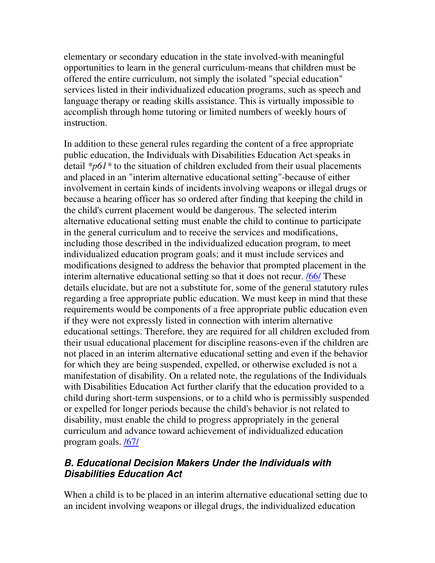elementary or secondary education in the state involved-with meaningful opportunities to learn in the general curriculum-means that children must be offered the entire curriculum, not simply the isolated "special education" services listed in their individualized education programs, such as speech and language therapy or reading skills assistance. This is virtually impossible to accomplish through home tutoring or limited numbers of weekly hours of instruction.

In addition to these general rules regarding the content of a free appropriate public education, the Individuals with Disabilities Education Act speaks in detail *\*p61\** to the situation of children excluded from their usual placements and placed in an "interim alternative educational setting"-because of either involvement in certain kinds of incidents involving weapons or illegal drugs or because a hearing officer has so ordered after finding that keeping the child in the child's current placement would be dangerous. The selected interim alternative educational setting must enable the child to continue to participate in the general curriculum and to receive the services and modifications, including those described in the individualized education program, to meet individualized education program goals; and it must include services and modifications designed to address the behavior that prompted placement in the interim alternative educational setting so that it does not recur. /66/ These details elucidate, but are not a substitute for, some of the general statutory rules regarding a free appropriate public education. We must keep in mind that these requirements would be components of a free appropriate public education even if they were not expressly listed in connection with interim alternative educational settings. Therefore, they are required for all children excluded from their usual educational placement for discipline reasons-even if the children are not placed in an interim alternative educational setting and even if the behavior for which they are being suspended, expelled, or otherwise excluded is not a manifestation of disability. On a related note, the regulations of the Individuals with Disabilities Education Act further clarify that the education provided to a child during short-term suspensions, or to a child who is permissibly suspended or expelled for longer periods because the child's behavior is not related to disability, must enable the child to progress appropriately in the general curriculum and advance toward achievement of individualized education program goals. /67/

### **B. Educational Decision Makers Under the Individuals with Disabilities Education Act**

When a child is to be placed in an interim alternative educational setting due to an incident involving weapons or illegal drugs, the individualized education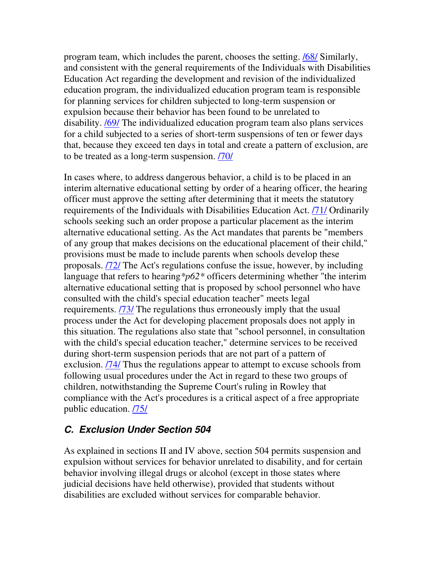program team, which includes the parent, chooses the setting. /68/ Similarly, and consistent with the general requirements of the Individuals with Disabilities Education Act regarding the development and revision of the individualized education program, the individualized education program team is responsible for planning services for children subjected to long-term suspension or expulsion because their behavior has been found to be unrelated to disability. /69/ The individualized education program team also plans services for a child subjected to a series of short-term suspensions of ten or fewer days that, because they exceed ten days in total and create a pattern of exclusion, are to be treated as a long-term suspension. /70/

In cases where, to address dangerous behavior, a child is to be placed in an interim alternative educational setting by order of a hearing officer, the hearing officer must approve the setting after determining that it meets the statutory requirements of the Individuals with Disabilities Education Act. /71/ Ordinarily schools seeking such an order propose a particular placement as the interim alternative educational setting. As the Act mandates that parents be "members of any group that makes decisions on the educational placement of their child," provisions must be made to include parents when schools develop these proposals. /72/ The Act's regulations confuse the issue, however, by including language that refers to hearing*\*p62\** officers determining whether "the interim alternative educational setting that is proposed by school personnel who have consulted with the child's special education teacher" meets legal requirements. /73/ The regulations thus erroneously imply that the usual process under the Act for developing placement proposals does not apply in this situation. The regulations also state that "school personnel, in consultation with the child's special education teacher," determine services to be received during short-term suspension periods that are not part of a pattern of exclusion. /74/ Thus the regulations appear to attempt to excuse schools from following usual procedures under the Act in regard to these two groups of children, notwithstanding the Supreme Court's ruling in Rowley that compliance with the Act's procedures is a critical aspect of a free appropriate public education. /75/

#### **C. Exclusion Under Section 504**

As explained in sections II and IV above, section 504 permits suspension and expulsion without services for behavior unrelated to disability, and for certain behavior involving illegal drugs or alcohol (except in those states where judicial decisions have held otherwise), provided that students without disabilities are excluded without services for comparable behavior.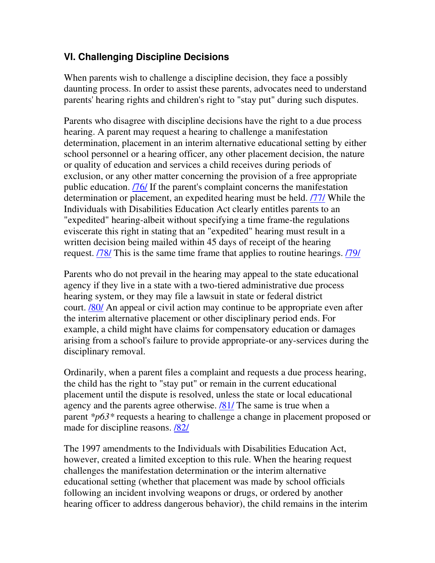#### **VI. Challenging Discipline Decisions**

When parents wish to challenge a discipline decision, they face a possibly daunting process. In order to assist these parents, advocates need to understand parents' hearing rights and children's right to "stay put" during such disputes.

Parents who disagree with discipline decisions have the right to a due process hearing. A parent may request a hearing to challenge a manifestation determination, placement in an interim alternative educational setting by either school personnel or a hearing officer, any other placement decision, the nature or quality of education and services a child receives during periods of exclusion, or any other matter concerning the provision of a free appropriate public education. /76/ If the parent's complaint concerns the manifestation determination or placement, an expedited hearing must be held. /77/ While the Individuals with Disabilities Education Act clearly entitles parents to an "expedited" hearing-albeit without specifying a time frame-the regulations eviscerate this right in stating that an "expedited" hearing must result in a written decision being mailed within 45 days of receipt of the hearing request. **78** This is the same time frame that applies to routine hearings. **79** 

Parents who do not prevail in the hearing may appeal to the state educational agency if they live in a state with a two-tiered administrative due process hearing system, or they may file a lawsuit in state or federal district court. /80/ An appeal or civil action may continue to be appropriate even after the interim alternative placement or other disciplinary period ends. For example, a child might have claims for compensatory education or damages arising from a school's failure to provide appropriate-or any-services during the disciplinary removal.

Ordinarily, when a parent files a complaint and requests a due process hearing, the child has the right to "stay put" or remain in the current educational placement until the dispute is resolved, unless the state or local educational agency and the parents agree otherwise. /81/ The same is true when a parent *\*p63\** requests a hearing to challenge a change in placement proposed or made for discipline reasons. /82/

The 1997 amendments to the Individuals with Disabilities Education Act, however, created a limited exception to this rule. When the hearing request challenges the manifestation determination or the interim alternative educational setting (whether that placement was made by school officials following an incident involving weapons or drugs, or ordered by another hearing officer to address dangerous behavior), the child remains in the interim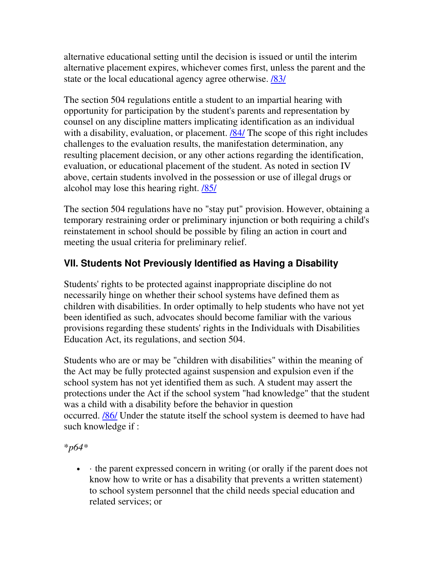alternative educational setting until the decision is issued or until the interim alternative placement expires, whichever comes first, unless the parent and the state or the local educational agency agree otherwise. /83/

The section 504 regulations entitle a student to an impartial hearing with opportunity for participation by the student's parents and representation by counsel on any discipline matters implicating identification as an individual with a disability, evaluation, or placement.  $\frac{184}{\text{The}}$  scope of this right includes challenges to the evaluation results, the manifestation determination, any resulting placement decision, or any other actions regarding the identification, evaluation, or educational placement of the student. As noted in section IV above, certain students involved in the possession or use of illegal drugs or alcohol may lose this hearing right. /85/

The section 504 regulations have no "stay put" provision. However, obtaining a temporary restraining order or preliminary injunction or both requiring a child's reinstatement in school should be possible by filing an action in court and meeting the usual criteria for preliminary relief.

## **VII. Students Not Previously Identified as Having a Disability**

Students' rights to be protected against inappropriate discipline do not necessarily hinge on whether their school systems have defined them as children with disabilities. In order optimally to help students who have not yet been identified as such, advocates should become familiar with the various provisions regarding these students' rights in the Individuals with Disabilities Education Act, its regulations, and section 504.

Students who are or may be "children with disabilities" within the meaning of the Act may be fully protected against suspension and expulsion even if the school system has not yet identified them as such. A student may assert the protections under the Act if the school system "had knowledge" that the student was a child with a disability before the behavior in question occurred. /86/ Under the statute itself the school system is deemed to have had such knowledge if :

\**p64\**

• • the parent expressed concern in writing (or orally if the parent does not know how to write or has a disability that prevents a written statement) to school system personnel that the child needs special education and related services; or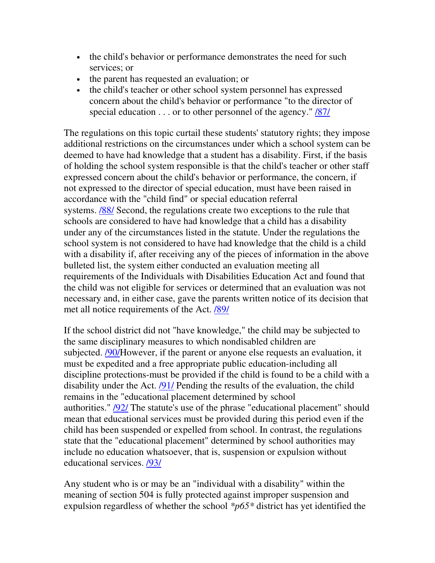- the child's behavior or performance demonstrates the need for such services; or
- the parent has requested an evaluation; or
- the child's teacher or other school system personnel has expressed concern about the child's behavior or performance "to the director of special education  $\dots$  or to other personnel of the agency."  $\frac{87}{10}$

The regulations on this topic curtail these students' statutory rights; they impose additional restrictions on the circumstances under which a school system can be deemed to have had knowledge that a student has a disability. First, if the basis of holding the school system responsible is that the child's teacher or other staff expressed concern about the child's behavior or performance, the concern, if not expressed to the director of special education, must have been raised in accordance with the "child find" or special education referral systems. /88/ Second, the regulations create two exceptions to the rule that schools are considered to have had knowledge that a child has a disability under any of the circumstances listed in the statute. Under the regulations the school system is not considered to have had knowledge that the child is a child with a disability if, after receiving any of the pieces of information in the above bulleted list, the system either conducted an evaluation meeting all requirements of the Individuals with Disabilities Education Act and found that the child was not eligible for services or determined that an evaluation was not necessary and, in either case, gave the parents written notice of its decision that met all notice requirements of the Act. /89/

If the school district did not "have knowledge," the child may be subjected to the same disciplinary measures to which nondisabled children are subjected. /90/However, if the parent or anyone else requests an evaluation, it must be expedited and a free appropriate public education-including all discipline protections-must be provided if the child is found to be a child with a disability under the Act. /91/ Pending the results of the evaluation, the child remains in the "educational placement determined by school authorities."  $\frac{1}{92}$  The statute's use of the phrase "educational placement" should mean that educational services must be provided during this period even if the child has been suspended or expelled from school. In contrast, the regulations state that the "educational placement" determined by school authorities may include no education whatsoever, that is, suspension or expulsion without educational services. /93/

Any student who is or may be an "individual with a disability" within the meaning of section 504 is fully protected against improper suspension and expulsion regardless of whether the school *\*p65\** district has yet identified the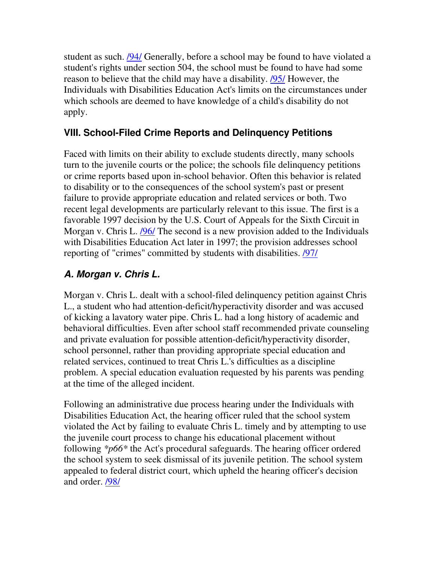student as such. /94/ Generally, before a school may be found to have violated a student's rights under section 504, the school must be found to have had some reason to believe that the child may have a disability. /95/ However, the Individuals with Disabilities Education Act's limits on the circumstances under which schools are deemed to have knowledge of a child's disability do not apply.

### **VIII. School-Filed Crime Reports and Delinquency Petitions**

Faced with limits on their ability to exclude students directly, many schools turn to the juvenile courts or the police; the schools file delinquency petitions or crime reports based upon in-school behavior. Often this behavior is related to disability or to the consequences of the school system's past or present failure to provide appropriate education and related services or both. Two recent legal developments are particularly relevant to this issue. The first is a favorable 1997 decision by the U.S. Court of Appeals for the Sixth Circuit in Morgan v. Chris L. /96/ The second is a new provision added to the Individuals with Disabilities Education Act later in 1997; the provision addresses school reporting of "crimes" committed by students with disabilities. /97/

### **A. Morgan v. Chris L.**

Morgan v. Chris L. dealt with a school-filed delinquency petition against Chris L., a student who had attention-deficit/hyperactivity disorder and was accused of kicking a lavatory water pipe. Chris L. had a long history of academic and behavioral difficulties. Even after school staff recommended private counseling and private evaluation for possible attention-deficit/hyperactivity disorder, school personnel, rather than providing appropriate special education and related services, continued to treat Chris L.'s difficulties as a discipline problem. A special education evaluation requested by his parents was pending at the time of the alleged incident.

Following an administrative due process hearing under the Individuals with Disabilities Education Act, the hearing officer ruled that the school system violated the Act by failing to evaluate Chris L. timely and by attempting to use the juvenile court process to change his educational placement without following *\*p66\** the Act's procedural safeguards. The hearing officer ordered the school system to seek dismissal of its juvenile petition. The school system appealed to federal district court, which upheld the hearing officer's decision and order. /98/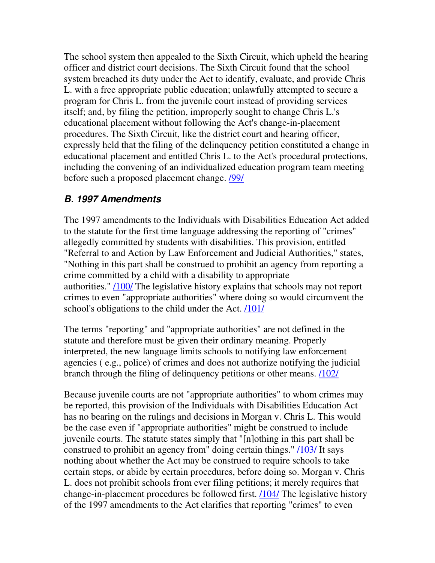The school system then appealed to the Sixth Circuit, which upheld the hearing officer and district court decisions. The Sixth Circuit found that the school system breached its duty under the Act to identify, evaluate, and provide Chris L. with a free appropriate public education; unlawfully attempted to secure a program for Chris L. from the juvenile court instead of providing services itself; and, by filing the petition, improperly sought to change Chris L.'s educational placement without following the Act's change-in-placement procedures. The Sixth Circuit, like the district court and hearing officer, expressly held that the filing of the delinquency petition constituted a change in educational placement and entitled Chris L. to the Act's procedural protections, including the convening of an individualized education program team meeting before such a proposed placement change. **/99/** 

#### **B. 1997 Amendments**

The 1997 amendments to the Individuals with Disabilities Education Act added to the statute for the first time language addressing the reporting of "crimes" allegedly committed by students with disabilities. This provision, entitled "Referral to and Action by Law Enforcement and Judicial Authorities," states, "Nothing in this part shall be construed to prohibit an agency from reporting a crime committed by a child with a disability to appropriate authorities." /100/ The legislative history explains that schools may not report crimes to even "appropriate authorities" where doing so would circumvent the school's obligations to the child under the Act. /101/

The terms "reporting" and "appropriate authorities" are not defined in the statute and therefore must be given their ordinary meaning. Properly interpreted, the new language limits schools to notifying law enforcement agencies ( e.g., police) of crimes and does not authorize notifying the judicial branch through the filing of delinquency petitions or other means. /102/

Because juvenile courts are not "appropriate authorities" to whom crimes may be reported, this provision of the Individuals with Disabilities Education Act has no bearing on the rulings and decisions in Morgan v. Chris L. This would be the case even if "appropriate authorities" might be construed to include juvenile courts. The statute states simply that "[n]othing in this part shall be construed to prohibit an agency from" doing certain things." /103/ It says nothing about whether the Act may be construed to require schools to take certain steps, or abide by certain procedures, before doing so. Morgan v. Chris L. does not prohibit schools from ever filing petitions; it merely requires that change-in-placement procedures be followed first. /104/ The legislative history of the 1997 amendments to the Act clarifies that reporting "crimes" to even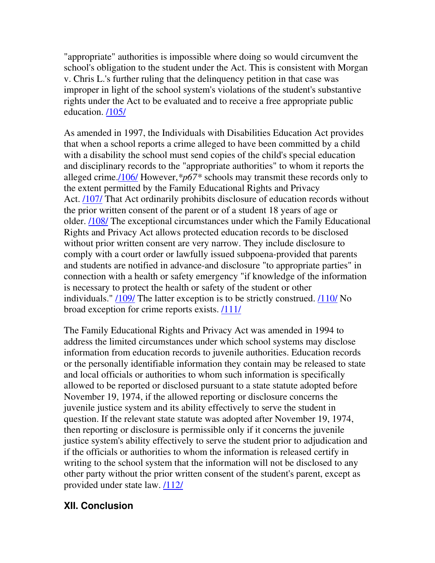"appropriate" authorities is impossible where doing so would circumvent the school's obligation to the student under the Act. This is consistent with Morgan v. Chris L.'s further ruling that the delinquency petition in that case was improper in light of the school system's violations of the student's substantive rights under the Act to be evaluated and to receive a free appropriate public education. /105/

As amended in 1997, the Individuals with Disabilities Education Act provides that when a school reports a crime alleged to have been committed by a child with a disability the school must send copies of the child's special education and disciplinary records to the "appropriate authorities" to whom it reports the alleged crime./106/ However,*\*p67\** schools may transmit these records only to the extent permitted by the Family Educational Rights and Privacy Act. /107/ That Act ordinarily prohibits disclosure of education records without the prior written consent of the parent or of a student 18 years of age or older. /108/ The exceptional circumstances under which the Family Educational Rights and Privacy Act allows protected education records to be disclosed without prior written consent are very narrow. They include disclosure to comply with a court order or lawfully issued subpoena-provided that parents and students are notified in advance-and disclosure "to appropriate parties" in connection with a health or safety emergency "if knowledge of the information is necessary to protect the health or safety of the student or other individuals." /109/ The latter exception is to be strictly construed. /110/ No broad exception for crime reports exists. /111/

The Family Educational Rights and Privacy Act was amended in 1994 to address the limited circumstances under which school systems may disclose information from education records to juvenile authorities. Education records or the personally identifiable information they contain may be released to state and local officials or authorities to whom such information is specifically allowed to be reported or disclosed pursuant to a state statute adopted before November 19, 1974, if the allowed reporting or disclosure concerns the juvenile justice system and its ability effectively to serve the student in question. If the relevant state statute was adopted after November 19, 1974, then reporting or disclosure is permissible only if it concerns the juvenile justice system's ability effectively to serve the student prior to adjudication and if the officials or authorities to whom the information is released certify in writing to the school system that the information will not be disclosed to any other party without the prior written consent of the student's parent, except as provided under state law. /112/

#### **XII. Conclusion**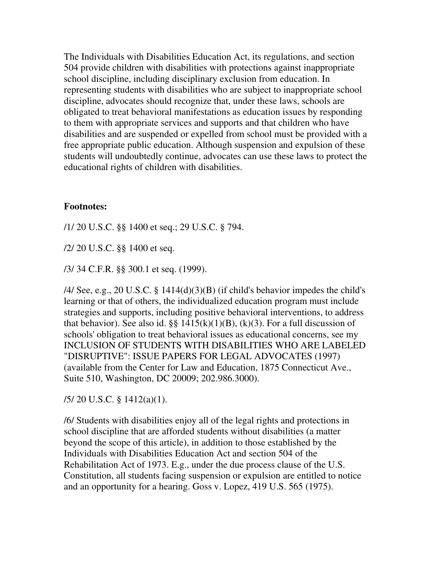The Individuals with Disabilities Education Act, its regulations, and section 504 provide children with disabilities with protections against inappropriate school discipline, including disciplinary exclusion from education. In representing students with disabilities who are subject to inappropriate school discipline, advocates should recognize that, under these laws, schools are obligated to treat behavioral manifestations as education issues by responding to them with appropriate services and supports and that children who have disabilities and are suspended or expelled from school must be provided with a free appropriate public education. Although suspension and expulsion of these students will undoubtedly continue, advocates can use these laws to protect the educational rights of children with disabilities.

#### **Footnotes:**

/1/ 20 U.S.C. §§ 1400 et seq.; 29 U.S.C. § 794.

/2/ 20 U.S.C. §§ 1400 et seq.

/3/ 34 C.F.R. §§ 300.1 et seq. (1999).

/4/ See, e.g., 20 U.S.C. § 1414(d)(3)(B) (if child's behavior impedes the child's learning or that of others, the individualized education program must include strategies and supports, including positive behavioral interventions, to address that behavior). See also id.  $\S\S 1415(k)(1)(B)$ , (k)(3). For a full discussion of schools' obligation to treat behavioral issues as educational concerns, see my INCLUSION OF STUDENTS WITH DISABILITIES WHO ARE LABELED "DISRUPTIVE": ISSUE PAPERS FOR LEGAL ADVOCATES (1997) (available from the Center for Law and Education, 1875 Connecticut Ave., Suite 510, Washington, DC 20009; 202.986.3000).

/5/ 20 U.S.C. § 1412(a)(1).

/6/ Students with disabilities enjoy all of the legal rights and protections in school discipline that are afforded students without disabilities (a matter beyond the scope of this article), in addition to those established by the Individuals with Disabilities Education Act and section 504 of the Rehabilitation Act of 1973. E.g., under the due process clause of the U.S. Constitution, all students facing suspension or expulsion are entitled to notice and an opportunity for a hearing. Goss v. Lopez, 419 U.S. 565 (1975).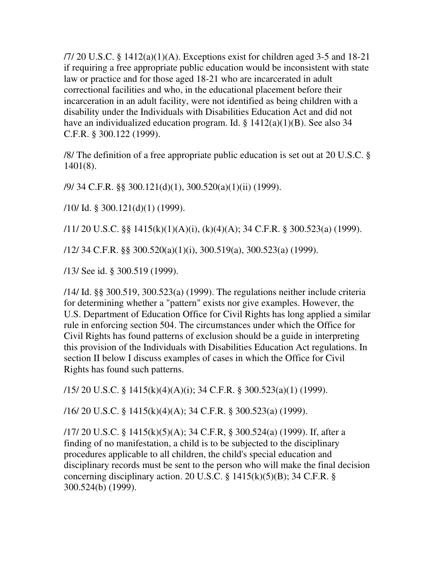$/7/20$  U.S.C. § 1412(a)(1)(A). Exceptions exist for children aged 3-5 and 18-21 if requiring a free appropriate public education would be inconsistent with state law or practice and for those aged 18-21 who are incarcerated in adult correctional facilities and who, in the educational placement before their incarceration in an adult facility, were not identified as being children with a disability under the Individuals with Disabilities Education Act and did not have an individualized education program. Id. § 1412(a)(1)(B). See also 34 C.F.R. § 300.122 (1999).

/8/ The definition of a free appropriate public education is set out at 20 U.S.C. § 1401(8).

/9/ 34 C.F.R. §§ 300.121(d)(1), 300.520(a)(1)(ii) (1999).

/10/ Id. § 300.121(d)(1) (1999).

/11/ 20 U.S.C. §§ 1415(k)(1)(A)(i), (k)(4)(A); 34 C.F.R. § 300.523(a) (1999).

/12/ 34 C.F.R. §§ 300.520(a)(1)(i), 300.519(a), 300.523(a) (1999).

/13/ See id. § 300.519 (1999).

/14/ Id. §§ 300.519, 300.523(a) (1999). The regulations neither include criteria for determining whether a "pattern" exists nor give examples. However, the U.S. Department of Education Office for Civil Rights has long applied a similar rule in enforcing section 504. The circumstances under which the Office for Civil Rights has found patterns of exclusion should be a guide in interpreting this provision of the Individuals with Disabilities Education Act regulations. In section II below I discuss examples of cases in which the Office for Civil Rights has found such patterns.

/15/ 20 U.S.C. § 1415(k)(4)(A)(i); 34 C.F.R. § 300.523(a)(1) (1999).

/16/ 20 U.S.C. § 1415(k)(4)(A); 34 C.F.R. § 300.523(a) (1999).

/17/ 20 U.S.C. § 1415(k)(5)(A); 34 C.F.R, § 300.524(a) (1999). If, after a finding of no manifestation, a child is to be subjected to the disciplinary procedures applicable to all children, the child's special education and disciplinary records must be sent to the person who will make the final decision concerning disciplinary action. 20 U.S.C.  $\S$  1415(k)(5)(B); 34 C.F.R.  $\S$ 300.524(b) (1999).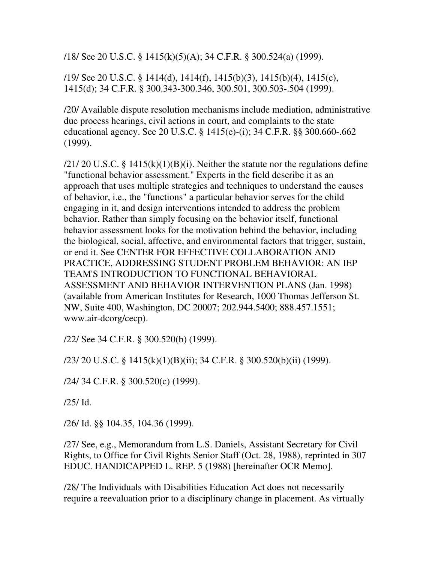/18/ See 20 U.S.C. § 1415(k)(5)(A); 34 C.F.R. § 300.524(a) (1999).

/19/ See 20 U.S.C. § 1414(d), 1414(f), 1415(b)(3), 1415(b)(4), 1415(c), 1415(d); 34 C.F.R. § 300.343-300.346, 300.501, 300.503-.504 (1999).

/20/ Available dispute resolution mechanisms include mediation, administrative due process hearings, civil actions in court, and complaints to the state educational agency. See 20 U.S.C. § 1415(e)-(i); 34 C.F.R. §§ 300.660-.662 (1999).

 $/21/20$  U.S.C. § 1415(k)(1)(B)(i). Neither the statute nor the regulations define "functional behavior assessment." Experts in the field describe it as an approach that uses multiple strategies and techniques to understand the causes of behavior, i.e., the "functions" a particular behavior serves for the child engaging in it, and design interventions intended to address the problem behavior. Rather than simply focusing on the behavior itself, functional behavior assessment looks for the motivation behind the behavior, including the biological, social, affective, and environmental factors that trigger, sustain, or end it. See CENTER FOR EFFECTIVE COLLABORATION AND PRACTICE, ADDRESSING STUDENT PROBLEM BEHAVIOR: AN IEP TEAM'S INTRODUCTION TO FUNCTIONAL BEHAVIORAL ASSESSMENT AND BEHAVIOR INTERVENTION PLANS (Jan. 1998) (available from American Institutes for Research, 1000 Thomas Jefferson St. NW, Suite 400, Washington, DC 20007; 202.944.5400; 888.457.1551; www.air-dcorg/cecp).

/22/ See 34 C.F.R. § 300.520(b) (1999).

/23/ 20 U.S.C. § 1415(k)(1)(B)(ii); 34 C.F.R. § 300.520(b)(ii) (1999).

/24/ 34 C.F.R. § 300.520(c) (1999).

/25/ Id.

/26/ Id. §§ 104.35, 104.36 (1999).

/27/ See, e.g., Memorandum from L.S. Daniels, Assistant Secretary for Civil Rights, to Office for Civil Rights Senior Staff (Oct. 28, 1988), reprinted in 307 EDUC. HANDICAPPED L. REP. 5 (1988) [hereinafter OCR Memo].

/28/ The Individuals with Disabilities Education Act does not necessarily require a reevaluation prior to a disciplinary change in placement. As virtually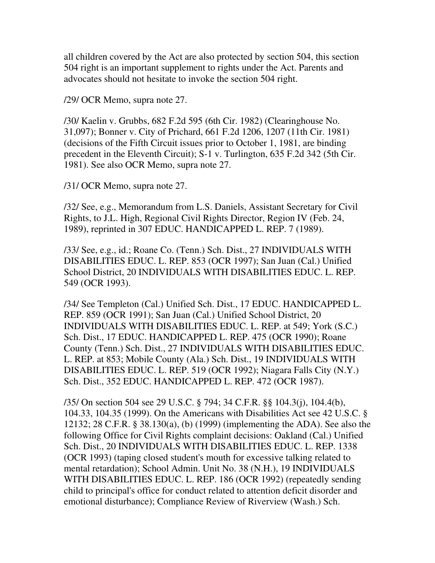all children covered by the Act are also protected by section 504, this section 504 right is an important supplement to rights under the Act. Parents and advocates should not hesitate to invoke the section 504 right.

/29/ OCR Memo, supra note 27.

/30/ Kaelin v. Grubbs, 682 F.2d 595 (6th Cir. 1982) (Clearinghouse No. 31,097); Bonner v. City of Prichard, 661 F.2d 1206, 1207 (11th Cir. 1981) (decisions of the Fifth Circuit issues prior to October 1, 1981, are binding precedent in the Eleventh Circuit); S-1 v. Turlington, 635 F.2d 342 (5th Cir. 1981). See also OCR Memo, supra note 27.

/31/ OCR Memo, supra note 27.

/32/ See, e.g., Memorandum from L.S. Daniels, Assistant Secretary for Civil Rights, to J.L. High, Regional Civil Rights Director, Region IV (Feb. 24, 1989), reprinted in 307 EDUC. HANDICAPPED L. REP. 7 (1989).

/33/ See, e.g., id.; Roane Co. (Tenn.) Sch. Dist., 27 INDIVIDUALS WITH DISABILITIES EDUC. L. REP. 853 (OCR 1997); San Juan (Cal.) Unified School District, 20 INDIVIDUALS WITH DISABILITIES EDUC. L. REP. 549 (OCR 1993).

/34/ See Templeton (Cal.) Unified Sch. Dist., 17 EDUC. HANDICAPPED L. REP. 859 (OCR 1991); San Juan (Cal.) Unified School District, 20 INDIVIDUALS WITH DISABILITIES EDUC. L. REP. at 549; York (S.C.) Sch. Dist., 17 EDUC. HANDICAPPED L. REP. 475 (OCR 1990); Roane County (Tenn.) Sch. Dist., 27 INDIVIDUALS WITH DISABILITIES EDUC. L. REP. at 853; Mobile County (Ala.) Sch. Dist., 19 INDIVIDUALS WITH DISABILITIES EDUC. L. REP. 519 (OCR 1992); Niagara Falls City (N.Y.) Sch. Dist., 352 EDUC. HANDICAPPED L. REP. 472 (OCR 1987).

/35/ On section 504 see 29 U.S.C. § 794; 34 C.F.R. §§ 104.3(j), 104.4(b), 104.33, 104.35 (1999). On the Americans with Disabilities Act see 42 U.S.C. § 12132; 28 C.F.R. § 38.130(a), (b) (1999) (implementing the ADA). See also the following Office for Civil Rights complaint decisions: Oakland (Cal.) Unified Sch. Dist., 20 INDIVIDUALS WITH DISABILITIES EDUC. L. REP. 1338 (OCR 1993) (taping closed student's mouth for excessive talking related to mental retardation); School Admin. Unit No. 38 (N.H.), 19 INDIVIDUALS WITH DISABILITIES EDUC. L. REP. 186 (OCR 1992) (repeatedly sending child to principal's office for conduct related to attention deficit disorder and emotional disturbance); Compliance Review of Riverview (Wash.) Sch.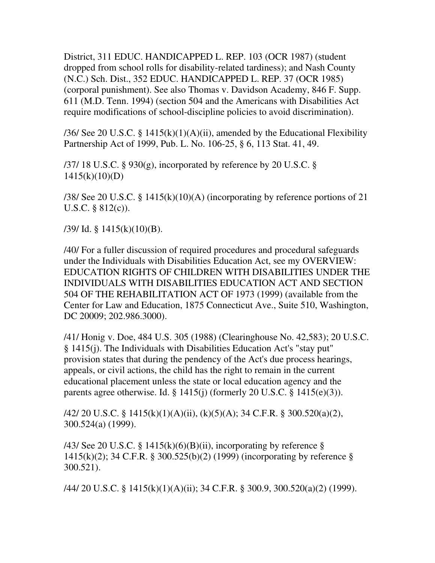District, 311 EDUC. HANDICAPPED L. REP. 103 (OCR 1987) (student dropped from school rolls for disability-related tardiness); and Nash County (N.C.) Sch. Dist., 352 EDUC. HANDICAPPED L. REP. 37 (OCR 1985) (corporal punishment). See also Thomas v. Davidson Academy, 846 F. Supp. 611 (M.D. Tenn. 1994) (section 504 and the Americans with Disabilities Act require modifications of school-discipline policies to avoid discrimination).

/36/ See 20 U.S.C. § 1415(k)(1)(A)(ii), amended by the Educational Flexibility Partnership Act of 1999, Pub. L. No. 106-25, § 6, 113 Stat. 41, 49.

 $/37/18$  U.S.C. § 930(g), incorporated by reference by 20 U.S.C. §  $1415(k)(10)(D)$ 

/38/ See 20 U.S.C. § 1415(k)(10)(A) (incorporating by reference portions of 21 U.S.C. § 812(c)).

 $/39/$  Id. § 1415(k)(10)(B).

/40/ For a fuller discussion of required procedures and procedural safeguards under the Individuals with Disabilities Education Act, see my OVERVIEW: EDUCATION RIGHTS OF CHILDREN WITH DISABILITIES UNDER THE INDIVIDUALS WITH DISABILITIES EDUCATION ACT AND SECTION 504 OF THE REHABILITATION ACT OF 1973 (1999) (available from the Center for Law and Education, 1875 Connecticut Ave., Suite 510, Washington, DC 20009; 202.986.3000).

/41/ Honig v. Doe, 484 U.S. 305 (1988) (Clearinghouse No. 42,583); 20 U.S.C. § 1415(j). The Individuals with Disabilities Education Act's "stay put" provision states that during the pendency of the Act's due process hearings, appeals, or civil actions, the child has the right to remain in the current educational placement unless the state or local education agency and the parents agree otherwise. Id.  $\S$  1415(j) (formerly 20 U.S.C.  $\S$  1415(e)(3)).

/42/ 20 U.S.C. § 1415(k)(1)(A)(ii), (k)(5)(A); 34 C.F.R. § 300.520(a)(2), 300.524(a) (1999).

/43/ See 20 U.S.C. § 1415(k)(6)(B)(ii), incorporating by reference § 1415(k)(2); 34 C.F.R. § 300.525(b)(2) (1999) (incorporating by reference § 300.521).

/44/ 20 U.S.C. § 1415(k)(1)(A)(ii); 34 C.F.R. § 300.9, 300.520(a)(2) (1999).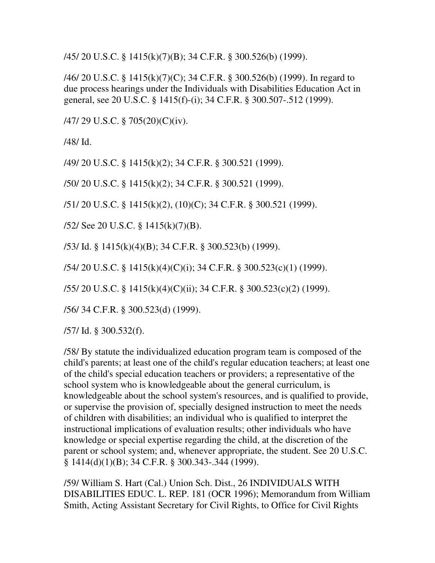/45/ 20 U.S.C. § 1415(k)(7)(B); 34 C.F.R. § 300.526(b) (1999).

/46/ 20 U.S.C. § 1415(k)(7)(C); 34 C.F.R. § 300.526(b) (1999). In regard to due process hearings under the Individuals with Disabilities Education Act in general, see 20 U.S.C. § 1415(f)-(i); 34 C.F.R. § 300.507-.512 (1999).

/47/ 29 U.S.C. § 705(20)(C)(iv).

/48/ Id.

/49/ 20 U.S.C. § 1415(k)(2); 34 C.F.R. § 300.521 (1999).

/50/ 20 U.S.C. § 1415(k)(2); 34 C.F.R. § 300.521 (1999).

/51/ 20 U.S.C. § 1415(k)(2), (10)(C); 34 C.F.R. § 300.521 (1999).

/52/ See 20 U.S.C. § 1415(k)(7)(B).

/53/ Id. § 1415(k)(4)(B); 34 C.F.R. § 300.523(b) (1999).

/54/ 20 U.S.C. § 1415(k)(4)(C)(i); 34 C.F.R. § 300.523(c)(1) (1999).

/55/ 20 U.S.C. § 1415(k)(4)(C)(ii); 34 C.F.R. § 300.523(c)(2) (1999).

/56/ 34 C.F.R. § 300.523(d) (1999).

/57/ Id. § 300.532(f).

/58/ By statute the individualized education program team is composed of the child's parents; at least one of the child's regular education teachers; at least one of the child's special education teachers or providers; a representative of the school system who is knowledgeable about the general curriculum, is knowledgeable about the school system's resources, and is qualified to provide, or supervise the provision of, specially designed instruction to meet the needs of children with disabilities; an individual who is qualified to interpret the instructional implications of evaluation results; other individuals who have knowledge or special expertise regarding the child, at the discretion of the parent or school system; and, whenever appropriate, the student. See 20 U.S.C. § 1414(d)(1)(B); 34 C.F.R. § 300.343-.344 (1999).

/59/ William S. Hart (Cal.) Union Sch. Dist., 26 INDIVIDUALS WITH DISABILITIES EDUC. L. REP. 181 (OCR 1996); Memorandum from William Smith, Acting Assistant Secretary for Civil Rights, to Office for Civil Rights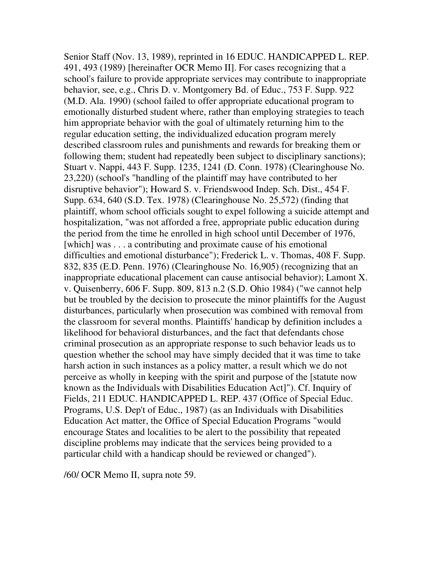Senior Staff (Nov. 13, 1989), reprinted in 16 EDUC. HANDICAPPED L. REP. 491, 493 (1989) [hereinafter OCR Memo II]. For cases recognizing that a school's failure to provide appropriate services may contribute to inappropriate behavior, see, e.g., Chris D. v. Montgomery Bd. of Educ., 753 F. Supp. 922 (M.D. Ala. 1990) (school failed to offer appropriate educational program to emotionally disturbed student where, rather than employing strategies to teach him appropriate behavior with the goal of ultimately returning him to the regular education setting, the individualized education program merely described classroom rules and punishments and rewards for breaking them or following them; student had repeatedly been subject to disciplinary sanctions); Stuart v. Nappi, 443 F. Supp. 1235, 1241 (D. Conn. 1978) (Clearinghouse No. 23,220) (school's "handling of the plaintiff may have contributed to her disruptive behavior"); Howard S. v. Friendswood Indep. Sch. Dist., 454 F. Supp. 634, 640 (S.D. Tex. 1978) (Clearinghouse No. 25,572) (finding that plaintiff, whom school officials sought to expel following a suicide attempt and hospitalization, "was not afforded a free, appropriate public education during the period from the time he enrolled in high school until December of 1976, [which] was . . . a contributing and proximate cause of his emotional difficulties and emotional disturbance"); Frederick L. v. Thomas, 408 F. Supp. 832, 835 (E.D. Penn. 1976) (Clearinghouse No. 16,905) (recognizing that an inappropriate educational placement can cause antisocial behavior); Lamont X. v. Quisenberry, 606 F. Supp. 809, 813 n.2 (S.D. Ohio 1984) ("we cannot help but be troubled by the decision to prosecute the minor plaintiffs for the August disturbances, particularly when prosecution was combined with removal from the classroom for several months. Plaintiffs' handicap by definition includes a likelihood for behavioral disturbances, and the fact that defendants chose criminal prosecution as an appropriate response to such behavior leads us to question whether the school may have simply decided that it was time to take harsh action in such instances as a policy matter, a result which we do not perceive as wholly in keeping with the spirit and purpose of the [statute now known as the Individuals with Disabilities Education Act]"). Cf. Inquiry of Fields, 211 EDUC. HANDICAPPED L. REP. 437 (Office of Special Educ. Programs, U.S. Dep't of Educ., 1987) (as an Individuals with Disabilities Education Act matter, the Office of Special Education Programs "would encourage States and localities to be alert to the possibility that repeated discipline problems may indicate that the services being provided to a particular child with a handicap should be reviewed or changed").

/60/ OCR Memo II, supra note 59.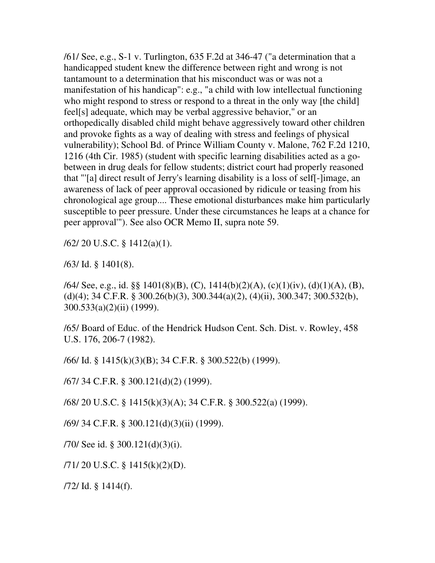/61/ See, e.g., S-1 v. Turlington, 635 F.2d at 346-47 ("a determination that a handicapped student knew the difference between right and wrong is not tantamount to a determination that his misconduct was or was not a manifestation of his handicap": e.g., "a child with low intellectual functioning who might respond to stress or respond to a threat in the only way [the child] feel[s] adequate, which may be verbal aggressive behavior," or an orthopedically disabled child might behave aggressively toward other children and provoke fights as a way of dealing with stress and feelings of physical vulnerability); School Bd. of Prince William County v. Malone, 762 F.2d 1210, 1216 (4th Cir. 1985) (student with specific learning disabilities acted as a gobetween in drug deals for fellow students; district court had properly reasoned that "'[a] direct result of Jerry's learning disability is a loss of self[-]image, an awareness of lack of peer approval occasioned by ridicule or teasing from his chronological age group.... These emotional disturbances make him particularly susceptible to peer pressure. Under these circumstances he leaps at a chance for peer approval'"). See also OCR Memo II, supra note 59.

/62/ 20 U.S.C. § 1412(a)(1).

/63/ Id. § 1401(8).

/64/ See, e.g., id. §§ 1401(8)(B), (C), 1414(b)(2)(A), (c)(1)(iv), (d)(1)(A), (B), (d)(4); 34 C.F.R. § 300.26(b)(3), 300.344(a)(2), (4)(ii), 300.347; 300.532(b), 300.533(a)(2)(ii) (1999).

/65/ Board of Educ. of the Hendrick Hudson Cent. Sch. Dist. v. Rowley, 458 U.S. 176, 206-7 (1982).

/66/ Id. § 1415(k)(3)(B); 34 C.F.R. § 300.522(b) (1999).

/67/ 34 C.F.R. § 300.121(d)(2) (1999).

/68/ 20 U.S.C. § 1415(k)(3)(A); 34 C.F.R. § 300.522(a) (1999).

/69/ 34 C.F.R. § 300.121(d)(3)(ii) (1999).

/70/ See id. § 300.121(d)(3)(i).

/71/ 20 U.S.C. § 1415(k)(2)(D).

/72/ Id. § 1414(f).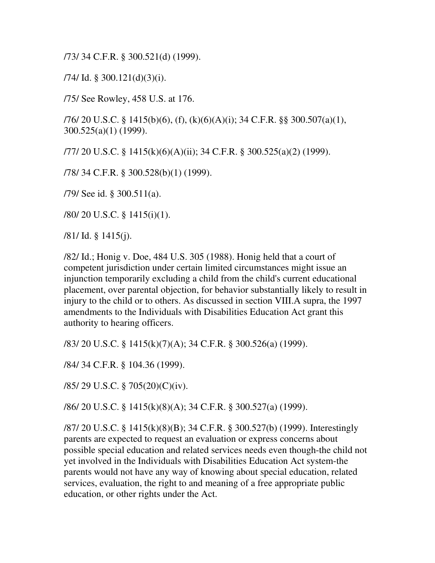/73/ 34 C.F.R. § 300.521(d) (1999).

 $/74$ / Id. § 300.121(d)(3)(i).

/75/ See Rowley, 458 U.S. at 176.

/76/ 20 U.S.C. § 1415(b)(6), (f), (k)(6)(A)(i); 34 C.F.R. §§ 300.507(a)(1), 300.525(a)(1) (1999).

/77/ 20 U.S.C. § 1415(k)(6)(A)(ii); 34 C.F.R. § 300.525(a)(2) (1999).

/78/ 34 C.F.R. § 300.528(b)(1) (1999).

/79/ See id. § 300.511(a).

/80/ 20 U.S.C. § 1415(i)(1).

/81/ Id. § 1415(j).

/82/ Id.; Honig v. Doe, 484 U.S. 305 (1988). Honig held that a court of competent jurisdiction under certain limited circumstances might issue an injunction temporarily excluding a child from the child's current educational placement, over parental objection, for behavior substantially likely to result in injury to the child or to others. As discussed in section VIII.A supra, the 1997 amendments to the Individuals with Disabilities Education Act grant this authority to hearing officers.

/83/ 20 U.S.C. § 1415(k)(7)(A); 34 C.F.R. § 300.526(a) (1999).

/84/ 34 C.F.R. § 104.36 (1999).

/85/ 29 U.S.C. § 705(20)(C)(iv).

/86/ 20 U.S.C. § 1415(k)(8)(A); 34 C.F.R. § 300.527(a) (1999).

/87/ 20 U.S.C. § 1415(k)(8)(B); 34 C.F.R. § 300.527(b) (1999). Interestingly parents are expected to request an evaluation or express concerns about possible special education and related services needs even though-the child not yet involved in the Individuals with Disabilities Education Act system-the parents would not have any way of knowing about special education, related services, evaluation, the right to and meaning of a free appropriate public education, or other rights under the Act.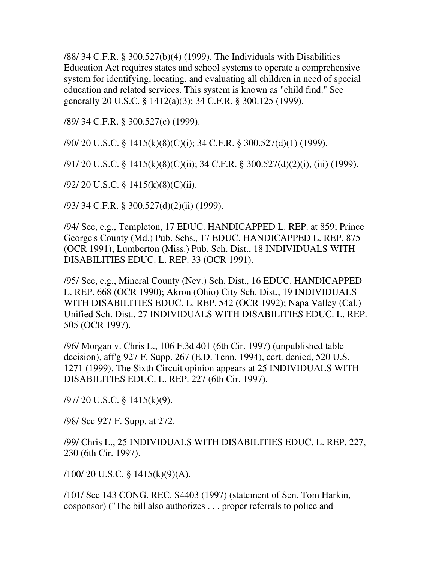/88/ 34 C.F.R. § 300.527(b)(4) (1999). The Individuals with Disabilities Education Act requires states and school systems to operate a comprehensive system for identifying, locating, and evaluating all children in need of special education and related services. This system is known as "child find." See generally 20 U.S.C. § 1412(a)(3); 34 C.F.R. § 300.125 (1999).

/89/ 34 C.F.R. § 300.527(c) (1999).

/90/ 20 U.S.C. § 1415(k)(8)(C)(i); 34 C.F.R. § 300.527(d)(1) (1999).

/91/ 20 U.S.C. § 1415(k)(8)(C)(ii); 34 C.F.R. § 300.527(d)(2)(i), (iii) (1999).

/92/ 20 U.S.C. § 1415(k)(8)(C)(ii).

/93/ 34 C.F.R. § 300.527(d)(2)(ii) (1999).

/94/ See, e.g., Templeton, 17 EDUC. HANDICAPPED L. REP. at 859; Prince George's County (Md.) Pub. Schs., 17 EDUC. HANDICAPPED L. REP. 875 (OCR 1991); Lumberton (Miss.) Pub. Sch. Dist., 18 INDIVIDUALS WITH DISABILITIES EDUC. L. REP. 33 (OCR 1991).

/95/ See, e.g., Mineral County (Nev.) Sch. Dist., 16 EDUC. HANDICAPPED L. REP. 668 (OCR 1990); Akron (Ohio) City Sch. Dist., 19 INDIVIDUALS WITH DISABILITIES EDUC. L. REP. 542 (OCR 1992); Napa Valley (Cal.) Unified Sch. Dist., 27 INDIVIDUALS WITH DISABILITIES EDUC. L. REP. 505 (OCR 1997).

/96/ Morgan v. Chris L., 106 F.3d 401 (6th Cir. 1997) (unpublished table decision), aff'g 927 F. Supp. 267 (E.D. Tenn. 1994), cert. denied, 520 U.S. 1271 (1999). The Sixth Circuit opinion appears at 25 INDIVIDUALS WITH DISABILITIES EDUC. L. REP. 227 (6th Cir. 1997).

/97/ 20 U.S.C. § 1415(k)(9).

/98/ See 927 F. Supp. at 272.

/99/ Chris L., 25 INDIVIDUALS WITH DISABILITIES EDUC. L. REP. 227, 230 (6th Cir. 1997).

 $/100/20$  U.S.C. § 1415(k)(9)(A).

/101/ See 143 CONG. REC. S4403 (1997) (statement of Sen. Tom Harkin, cosponsor) ("The bill also authorizes . . . proper referrals to police and